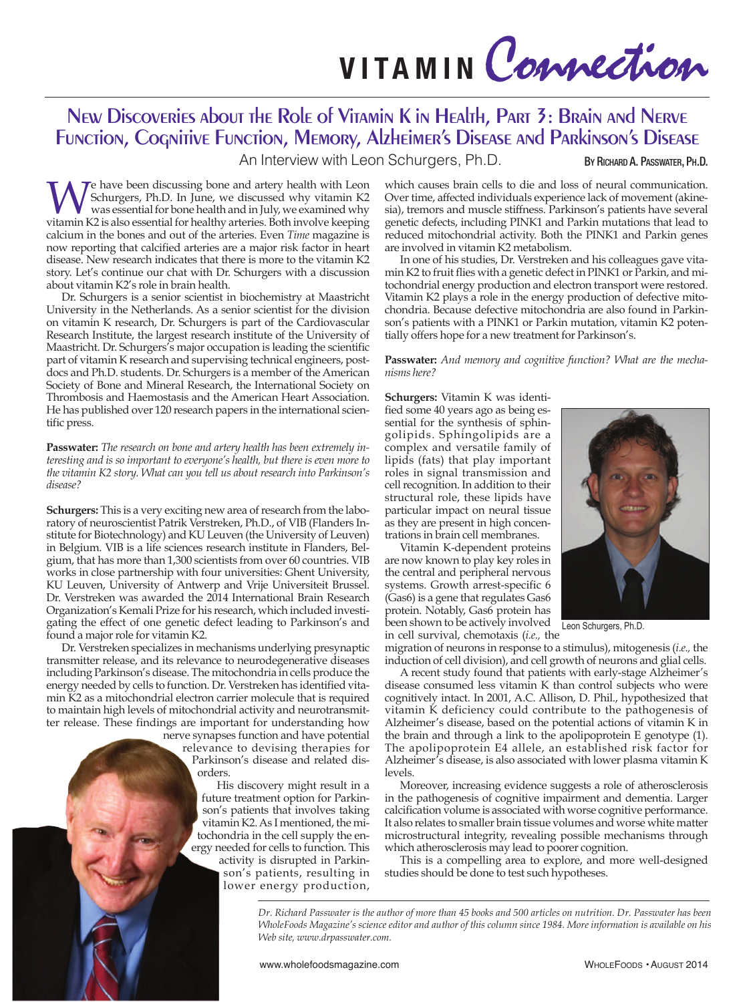**<sup>V</sup> <sup>I</sup> TA <sup>M</sup> <sup>I</sup> <sup>N</sup>** Connection

## New Discoveries about the Role of Vitamin K in Health, Part 3: Brain and Nerve Function, Cognitive Function, Memory, Alzheimer's Disease and Parkinson's Disease

An Interview with Leon Schurgers, Ph.D. BY RICHARD A. PASSWATER, PH.D.

We have been discussing bone and artery health with Leon<br>Schurgers, Ph.D. In June, we discussed why vitamin K2<br>was essential for bone health and in July, we examined why<br>vitamin K2 is also essential for healthy arteries. B Schurgers, Ph.D. In June, we discussed why vitamin K2 was essential for bone health and in July, we examined why vitamin K2 is also essential for healthy arteries. Both involve keeping calcium in the bones and out of the arteries. Even *Time* magazine is now reporting that calcified arteries are a major risk factor in heart disease. New research indicates that there is more to the vitamin K2 story. Let's continue our chat with Dr. Schurgers with a discussion about vitamin K2's role in brain health.

Dr. Schurgers is a senior scientist in biochemistry at Maastricht University in the Netherlands. As a senior scientist for the division on vitamin K research, Dr. Schurgers is part of the Cardiovascular Research Institute, the largest research institute of the University of Maastricht. Dr. Schurgers's major occupation is leading the scientific part of vitamin K research and supervising technical engineers, postdocs and Ph.D. students. Dr. Schurgers is a member of the American Society of Bone and Mineral Research, the International Society on Thrombosis and Haemostasis and the American Heart Association. He has published over 120 research papers in the international scientific press.

**Passwater:** *The research on bone and artery health has been extremely interesting and is so important to everyone's health, but there is even more to the vitamin K2 story. What can you tell us about research into Parkinson's disease?*

**Schurgers:** This is a very exciting new area of research from the laboratory of neuroscientist Patrik Verstreken, Ph.D., of VIB (Flanders Institute for Biotechnology) and KU Leuven (the University of Leuven) in Belgium. VIB is a life sciences research institute in Flanders, Belgium, that has more than 1,300 scientists from over 60 countries. VIB works in close partnership with four universities: Ghent University, KU Leuven, University of Antwerp and Vrije Universiteit Brussel. Dr. Verstreken was awarded the 2014 International Brain Research Organization's Kemali Prize for his research, which included investigating the effect of one genetic defect leading to Parkinson's and found a major role for vitamin K2.

Dr. Verstreken specializes in mechanisms underlying presynaptic transmitter release, and its relevance to neurodegenerative diseases including Parkinson's disease. The mitochondria in cells produce the energy needed by cells to function. Dr. Verstreken has identified vitamin K2 as a mitochondrial electron carrier molecule that is required to maintain high levels of mitochondrial activity and neurotransmitter release. These findings are important for understanding how

nerve synapses function and have potential relevance to devising therapies for Parkinson's disease and related disorders.

His discovery might result in a future treatment option for Parkinson's patients that involves taking vitamin K2. As I mentioned, the mitochondria in the cell supply the energy needed for cells to function. This

activity is disrupted in Parkinson's patients, resulting in lower energy production, which causes brain cells to die and loss of neural communication. Over time, affected individuals experience lack of movement (akinesia), tremors and muscle stiffness. Parkinson's patients have several genetic defects, including PINK1 and Parkin mutations that lead to reduced mitochondrial activity. Both the PINK1 and Parkin genes are involved in vitamin K2 metabolism.

In one of his studies, Dr. Verstreken and his colleagues gave vitamin K2 to fruit flies with a genetic defect in PINK1 or Parkin, and mitochondrial energy production and electron transport were restored. Vitamin K2 plays a role in the energy production of defective mitochondria. Because defective mitochondria are also found in Parkinson's patients with a PINK1 or Parkin mutation, vitamin K2 potentially offers hope for a new treatment for Parkinson's.

**Passwater:** *And memory and cognitive function? What are the mechanisms here?*

**Schurgers:** Vitamin K was identified some 40 years ago as being essential for the synthesis of sphingolipids. Sphingolipids are a complex and versatile family of lipids (fats) that play important roles in signal transmission and cell recognition. In addition to their structural role, these lipids have particular impact on neural tissue as they are present in high concentrations in brain cell membranes.

Vitamin K-dependent proteins are now known to play key roles in the central and peripheral nervous systems. Growth arrest-specific 6  $(Gas6)$  is a gene that regulates Gas6 protein. Notably, Gas6 protein has been shown to be actively involved Leon Schurgers, Ph.D. in cell survival, chemotaxis (*i.e.,* the



migration of neurons in response to a stimulus), mitogenesis (*i.e.,* the induction of cell division), and cell growth of neurons and glial cells.

A recent study found that patients with early-stage Alzheimer's disease consumed less vitamin K than control subjects who were cognitively intact. In 2001, A.C. Allison, D. Phil., hypothesized that vitamin K deficiency could contribute to the pathogenesis of Alzheimer's disease, based on the potential actions of vitamin K in the brain and through a link to the apolipoprotein E genotype (1). The apolipoprotein E4 allele, an established risk factor for Alzheimer's disease, is also associated with lower plasma vitamin K levels.

Moreover, increasing evidence suggests a role of atherosclerosis in the pathogenesis of cognitive impairment and dementia. Larger calcification volume is associated with worse cognitive performance. It also relates to smaller brain tissue volumes and worse white matter microstructural integrity, revealing possible mechanisms through which atherosclerosis may lead to poorer cognition.

This is a compelling area to explore, and more well-designed studies should be done to test such hypotheses.

Dr. Richard Passwater is the author of more than 45 books and 500 articles on nutrition. Dr. Passwater has been WholeFoods Magazine's science editor and author of this column since 1984. More information is available on his *Web site, www.drpasswater.com.*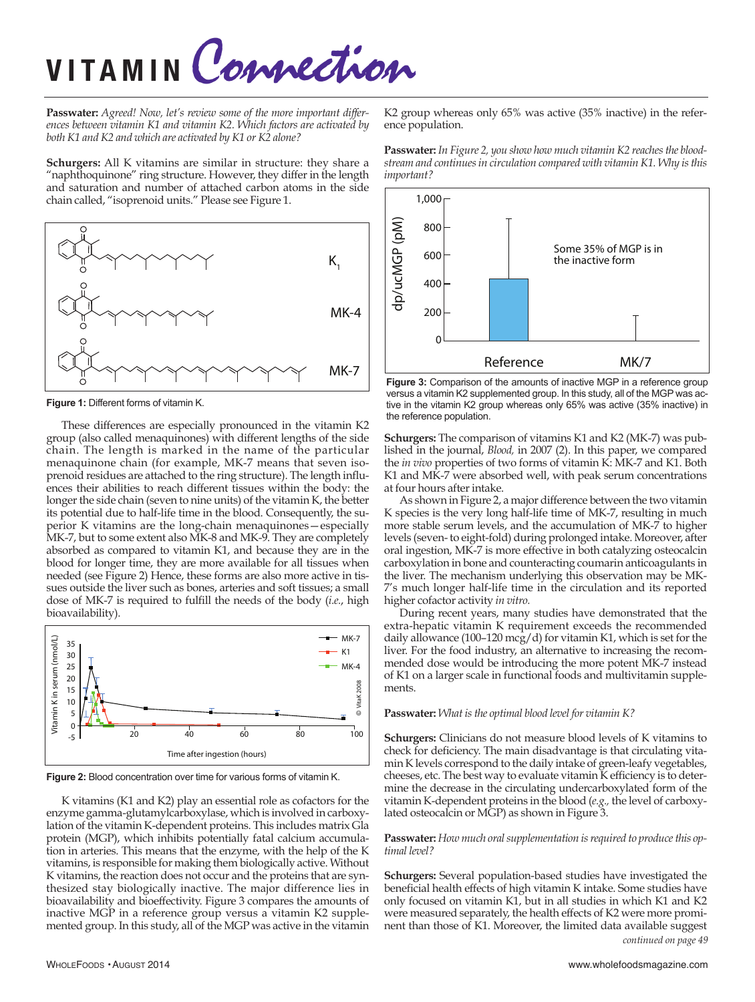# **<sup>V</sup> <sup>I</sup> TA <sup>M</sup> <sup>I</sup> <sup>N</sup>** Connection

**Passwater:** *Agreed! Now, let's review some of the more important differences between vitamin K1 and vitamin K2. Which factors are activated by both K1 and K2 and which are activated by K1 or K2 alone?*

**Schurgers:** All K vitamins are similar in structure: they share a "naphthoquinone" ring structure. However, they differ in the length and saturation and number of attached carbon atoms in the side chain called, "isoprenoid units." Please see Figure 1.



**Figure 1:** Different forms of vitamin K.

These differences are especially pronounced in the vitamin K2 group (also called menaquinones) with different lengths of the side chain. The length is marked in the name of the particular menaquinone chain (for example, MK-7 means that seven isoprenoid residues are attached to the ring structure). The length influences their abilities to reach different tissues within the body: the longer the side chain (seven to nine units) of the vitamin K, the better its potential due to half-life time in the blood. Consequently, the superior K vitamins are the long-chain menaquinones—especially MK-7, but to some extent also MK-8 and MK-9. They are completely absorbed as compared to vitamin K1, and because they are in the blood for longer time, they are more available for all tissues when needed (see Figure 2) Hence, these forms are also more active in tissues outside the liver such as bones, arteries and soft tissues; a small dose of MK-7 is required to fulfill the needs of the body (*i.e.*, high bioavailability).



**Figure 2:** Blood concentration over time for various forms of vitamin K.

K vitamins (K1 and K2) play an essential role as cofactors for the enzyme gamma-glutamylcarboxylase, which is involved in carboxylation of the vitamin K-dependent proteins. This includes matrix Gla protein (MGP), which inhibits potentially fatal calcium accumulation in arteries. This means that the enzyme, with the help of the K vitamins, is responsible for making them biologically active.Without K vitamins, the reaction does not occur and the proteins that are synthesized stay biologically inactive. The major difference lies in bioavailability and bioeffectivity. Figure 3 compares the amounts of inactive MGP in a reference group versus a vitamin K2 supplemented group. In this study, all of the MGP was active in the vitamin

K2 group whereas only 65% was active (35% inactive) in the reference population.





**Figure 3:** Comparison of the amounts of inactive MGP in a reference group versus a vitamin K2 supplemented group. In this study, all of the MGP was active in the vitamin K2 group whereas only 65% was active (35% inactive) in the reference population.

**Schurgers:** The comparison of vitamins K1 and K2 (MK-7) was published in the journal, *Blood,* in 2007 (2). In this paper, we compared the *in vivo* properties of two forms of vitamin K: MK-7 and K1. Both K1 and MK-7 were absorbed well, with peak serum concentrations at four hours after intake.

As shown in Figure 2, a major difference between the two vitamin K species is the very long half-life time of MK-7, resulting in much more stable serum levels, and the accumulation of MK-7 to higher levels (seven-to eight-fold) during prolonged intake. Moreover, after oral ingestion, MK-7 is more effective in both catalyzing osteocalcin carboxylation in bone and counteracting coumarin anticoagulants in the liver. The mechanism underlying this observation may be MK-7's much longer half-life time in the circulation and its reported higher cofactor activity *in vitro.*

During recent years, many studies have demonstrated that the extra-hepatic vitamin K requirement exceeds the recommended daily allowance (100-120 mcg/d) for vitamin K1, which is set for the liver. For the food industry, an alternative to increasing the recommended dose would be introducing the more potent MK-7 instead of K1 on a larger scale in functional foods and multivitamin supplements.

### **Passwater:** *What isthe optimal blood level for vitamin K?*

**Schurgers:** Clinicians do not measure blood levels of K vitamins to check for deficiency. The main disadvantage is that circulating vitamin K levels correspond to the daily intake of green-leafy vegetables, cheeses, etc. The best way to evaluate vitamin K efficiency is to determine the decrease in the circulating undercarboxylated form of the vitamin K-dependent proteins in the blood (*e.g.,* the level of carboxylated osteocalcin or MGP) as shown in Figure 3.

#### **Passwater:** How much oral supplementation is required to produce this op*timal level?*

**Schurgers:** Several population-based studies have investigated the beneficial health effects of high vitamin K intake. Some studies have only focused on vitamin K1, but in all studies in which K1 and K2 were measured separately, the health effects of K2 were more prominent than those of K1. Moreover, the limited data available suggest *continued on page 49*